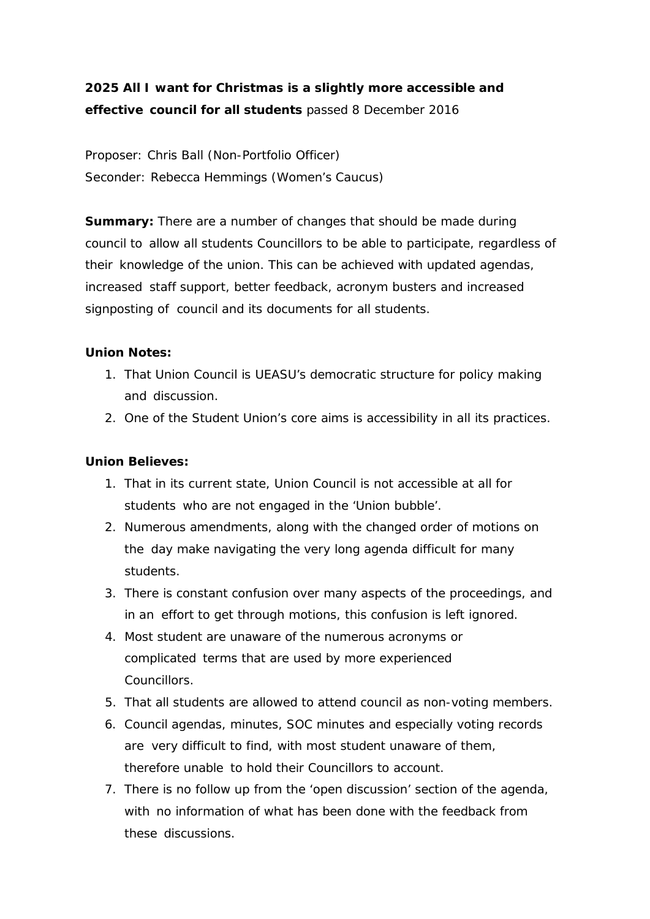## **2025 All I want for Christmas is a slightly more accessible and effective council for all students** passed 8 December 2016

Proposer: Chris Ball (Non-Portfolio Officer) Seconder: Rebecca Hemmings (Women's Caucus)

**Summary:** There are a number of changes that should be made during council to allow all students Councillors to be able to participate, regardless of their knowledge of the union. This can be achieved with updated agendas, increased staff support, better feedback, acronym busters and increased signposting of council and its documents for all students.

## **Union Notes:**

- 1. That Union Council is UEASU's democratic structure for policy making and discussion.
- 2. One of the Student Union's core aims is accessibility in all its practices.

## **Union Believes:**

- 1. That in its current state, Union Council is not accessible at all for students who are not engaged in the 'Union bubble'.
- 2. Numerous amendments, along with the changed order of motions on the day make navigating the very long agenda difficult for many students.
- 3. There is constant confusion over many aspects of the proceedings, and in an effort to get through motions, this confusion is left ignored.
- 4. Most student are unaware of the numerous acronyms or complicated terms that are used by more experienced Councillors.
- 5. That all students are allowed to attend council as non-voting members.
- 6. Council agendas, minutes, SOC minutes and especially voting records are very difficult to find, with most student unaware of them, therefore unable to hold their Councillors to account.
- 7. There is no follow up from the 'open discussion' section of the agenda, with no information of what has been done with the feedback from these discussions.